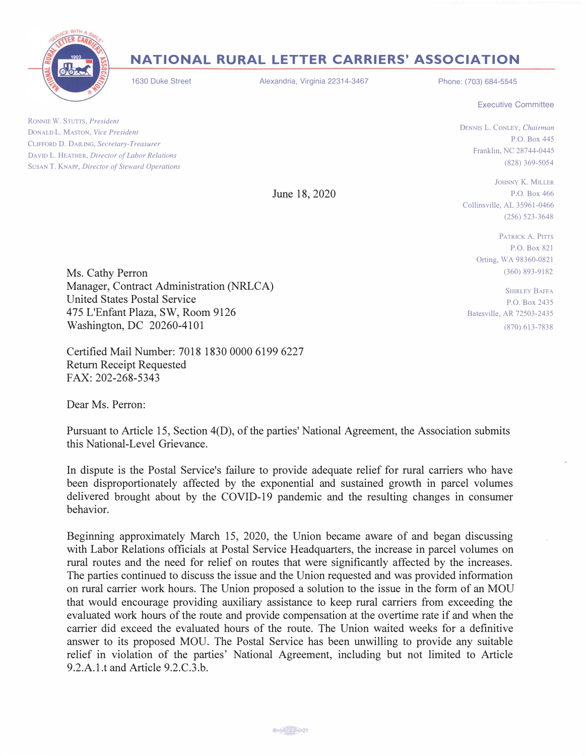

## **NATIONAL RURAL LETTER CARRIERS' ASSOCIATION**

1630 Duke Street

Alexandria, Virginia 22314-3467

Phone: (703) 684-5545

Executive Committee

P.O. Box 445

(256) 523-3648

RONNIE W. STUTTS, *President*  DONALD L. MASTON, *Vice President*  CLIFFORD D. DAILING, *Secretary-Treasurer*  DA YID L. HEATHER, *Director of Labor Relations*  SUSAN T. KNAPP, *Director of Steward Operations* 

June 18, 2020

JOHNNY K. MILLER P.O. Box 466 Collinsville, AL 35961-0466

DENNIS L. CONLEY, *Chairman* 

Franklin, NC 28744-0445 (828) 369-5054

PATRICK A. PITTS P.O. Box 821 Orting, WA 98360-0821 (360) 893-9182

SHIRLEY BAFFA P.O. Box 2435 Batesville, AR 72503-2435 (870) 613-7838

Ms. Cathy Perron Manager, Contract Administration (NRLCA) United States Postal Service 475 L'Enfant Plaza, SW, Room 9126 Washington, DC 20260-4101

Certified Mail Number: 7018 1830 0000 6199 6227 Return Receipt Requested FAX: 202-268-5343

Dear Ms. Perron:

Pursuant to Article 15, Section 4(D), of the parties' National Agreement, the Association submits this National-Level Grievance.

In dispute is the Postal Service's failure to provide adequate relief for rural carriers who have been disproportionately affected by the exponential and sustained growth in parcel volumes delivered brought about by the COVID-19 pandemic and the resulting changes in consumer behavior.

Beginning approximately March 15, 2020, the Union became aware of and began discussing with Labor Relations officials at Postal Service Headquarters, the increase in parcel volumes on rural routes and the need for relief on routes that were significantly affected by the increases. The parties continued to discuss the issue and the Union requested and was provided information on rural carrier work hours. The Union proposed a solution to the issue in the form of an MOU that would encourage providing auxiliary assistance to keep rural carriers from exceeding the evaluated work hours of the route and provide compensation at the overtime rate if and when the carrier did exceed the evaluated hours of the route. The Union waited weeks for a definitive answer to its proposed MOU. The Postal Service has been unwilling to provide any suitable relief in violation of the parties' National Agreement, including but not limited to Article 9.2.A.1.t and Article 9.2.C.3.b.